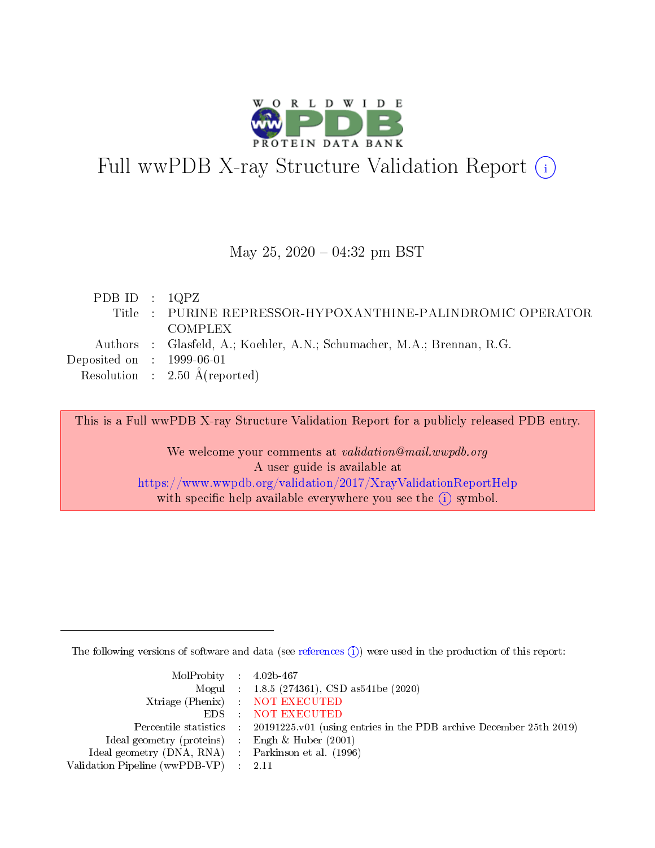

# Full wwPDB X-ray Structure Validation Report (i)

#### May 25,  $2020 - 04:32$  pm BST

| PDB ID : $1QPZ$                      |                                                                        |
|--------------------------------------|------------------------------------------------------------------------|
|                                      | Title : PURINE REPRESSOR-HYPOXANTHINE-PALINDROMIC OPERATOR             |
|                                      | COMPLEX                                                                |
|                                      | Authors : Glasfeld, A.; Koehler, A.N.; Schumacher, M.A.; Brennan, R.G. |
| Deposited on $\therefore$ 1999-06-01 |                                                                        |
|                                      | Resolution : $2.50 \text{ Å}$ (reported)                               |
|                                      |                                                                        |

This is a Full wwPDB X-ray Structure Validation Report for a publicly released PDB entry.

We welcome your comments at validation@mail.wwpdb.org A user guide is available at <https://www.wwpdb.org/validation/2017/XrayValidationReportHelp> with specific help available everywhere you see the  $(i)$  symbol.

The following versions of software and data (see [references](https://www.wwpdb.org/validation/2017/XrayValidationReportHelp#references)  $(i)$ ) were used in the production of this report:

| $MolProbability$ 4.02b-467                          |                                                                                            |
|-----------------------------------------------------|--------------------------------------------------------------------------------------------|
|                                                     | Mogul : 1.8.5 (274361), CSD as541be (2020)                                                 |
|                                                     | Xtriage (Phenix) NOT EXECUTED                                                              |
|                                                     | EDS : NOT EXECUTED                                                                         |
|                                                     | Percentile statistics : 20191225.v01 (using entries in the PDB archive December 25th 2019) |
| Ideal geometry (proteins) : Engh $\&$ Huber (2001)  |                                                                                            |
| Ideal geometry (DNA, RNA) : Parkinson et al. (1996) |                                                                                            |
| Validation Pipeline (wwPDB-VP) : 2.11               |                                                                                            |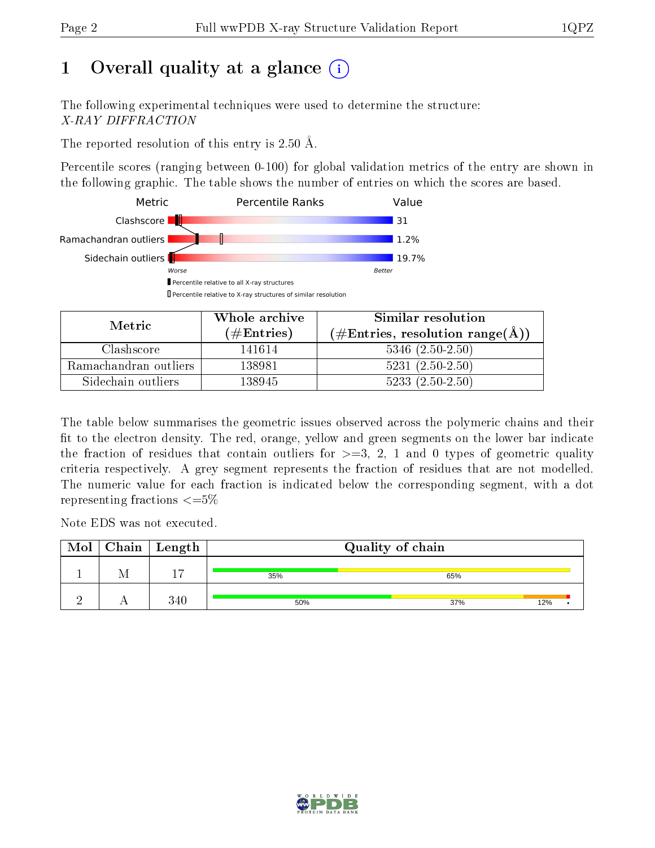# 1 [O](https://www.wwpdb.org/validation/2017/XrayValidationReportHelp#overall_quality)verall quality at a glance  $(i)$

The following experimental techniques were used to determine the structure: X-RAY DIFFRACTION

The reported resolution of this entry is 2.50 Å.

Percentile scores (ranging between 0-100) for global validation metrics of the entry are shown in the following graphic. The table shows the number of entries on which the scores are based.



| Metric                | Whole archive        | Similar resolution                                           |
|-----------------------|----------------------|--------------------------------------------------------------|
|                       | $(\#\text{Entries})$ | $(\#\text{Entries}, \text{resolution range}(\textup{\AA})\)$ |
| Clashscore            | 141614               | $5346$ $(2.50-2.50)$                                         |
| Ramachandran outliers | 138981               | $5231 (2.50 - 2.50)$                                         |
| Sidechain outliers    | 138945               | $5233(2.50-2.50)$                                            |

The table below summarises the geometric issues observed across the polymeric chains and their fit to the electron density. The red, orange, yellow and green segments on the lower bar indicate the fraction of residues that contain outliers for  $\geq=3$ , 2, 1 and 0 types of geometric quality criteria respectively. A grey segment represents the fraction of residues that are not modelled. The numeric value for each fraction is indicated below the corresponding segment, with a dot representing fractions  $\epsilon = 5\%$ 

Note EDS was not executed.

| Mol | $Chain \  Length$ | Quality of chain |     |     |  |
|-----|-------------------|------------------|-----|-----|--|
|     |                   | 35%              | 65% |     |  |
|     | 340               | 50%              | 37% | 12% |  |

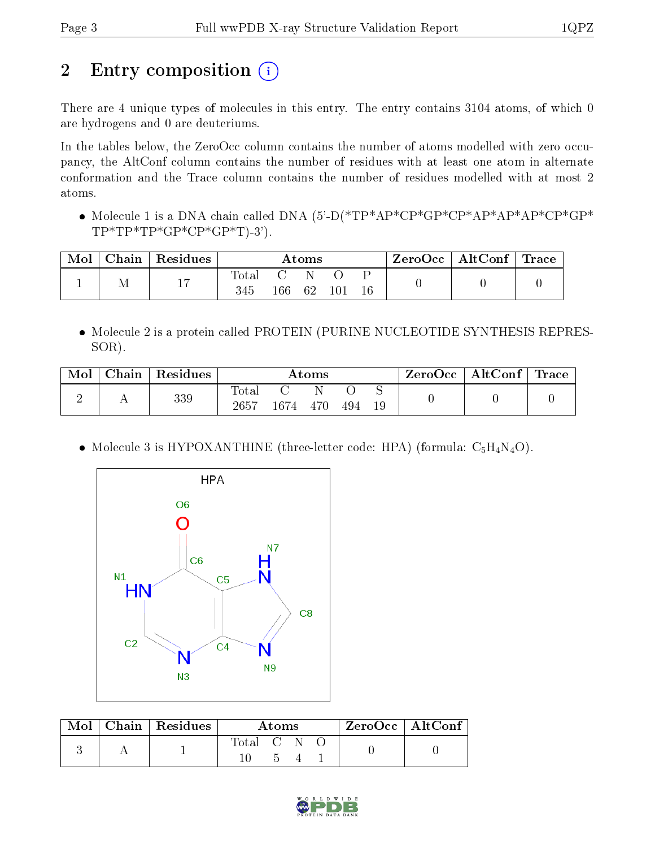# 2 Entry composition (i)

There are 4 unique types of molecules in this entry. The entry contains 3104 atoms, of which 0 are hydrogens and 0 are deuteriums.

In the tables below, the ZeroOcc column contains the number of atoms modelled with zero occupancy, the AltConf column contains the number of residues with at least one atom in alternate conformation and the Trace column contains the number of residues modelled with at most 2 atoms.

• Molecule 1 is a DNA chain called DNA (5'-D(\*TP\*AP\*CP\*GP\*GP\*AP\*AP\*AP\*CP\*GP\*  $TP*TP*GP*CP*GP*GP*T)-3$ ').

| Mol | ${\bf Chain \mid Residues}$ | $\rm{Atoms}$ |         |     | $\text{ZeroOcc} \mid \text{AltConf} \mid \text{Trace}$ |  |  |  |
|-----|-----------------------------|--------------|---------|-----|--------------------------------------------------------|--|--|--|
|     | $17\,$                      | lotal<br>345 | $166\,$ | -62 | 101                                                    |  |  |  |

 Molecule 2 is a protein called PROTEIN (PURINE NUCLEOTIDE SYNTHESIS REPRES-SOR).

| Mol | Chain   Residues | Atoms               |      |     | $\mid$ ZeroOcc $\mid$ AltConf $\mid$ Trace $\mid$ |  |  |  |
|-----|------------------|---------------------|------|-----|---------------------------------------------------|--|--|--|
|     | 339              | $\rm Total$<br>2657 | 1674 | 470 | 494                                               |  |  |  |

• Molecule 3 is HYPOXANTHINE (three-letter code: HPA) (formula:  $C_5H_4N_4O$ ).



|  | Mol   Chain   Residues | Atoms       |  |  | $\rm ZeroOcc \mid AltConf$ |  |
|--|------------------------|-------------|--|--|----------------------------|--|
|  |                        | Total C N O |  |  |                            |  |

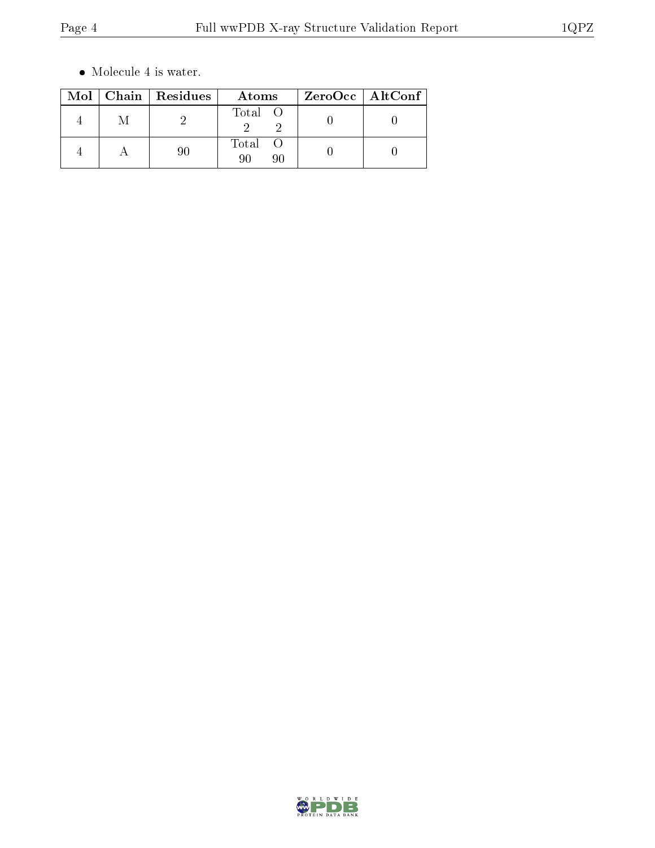$\bullet\,$  Molecule 4 is water.

|   | Mol   Chain   Residues | Atoms             | ZeroOcc   AltConf |
|---|------------------------|-------------------|-------------------|
| M |                        | Total O           |                   |
|   |                        | Total<br>QΛ<br>90 |                   |

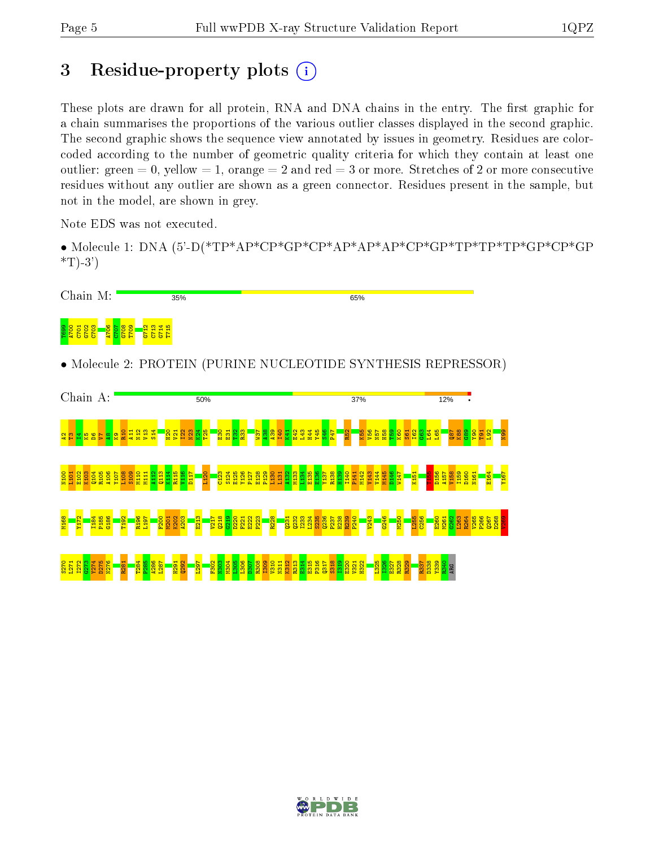## 3 Residue-property plots  $(i)$

These plots are drawn for all protein, RNA and DNA chains in the entry. The first graphic for a chain summarises the proportions of the various outlier classes displayed in the second graphic. The second graphic shows the sequence view annotated by issues in geometry. Residues are colorcoded according to the number of geometric quality criteria for which they contain at least one outlier: green  $= 0$ , yellow  $= 1$ , orange  $= 2$  and red  $= 3$  or more. Stretches of 2 or more consecutive residues without any outlier are shown as a green connector. Residues present in the sample, but not in the model, are shown in grey.

Note EDS was not executed.

• Molecule 1: DNA (5'-D(\*TP\*AP\*CP\*GP\*CP\*AP\*AP\*AP\*CP\*GP\*TP\*TP\*TP\*GP\*CP\*GP  $*T$ -3')



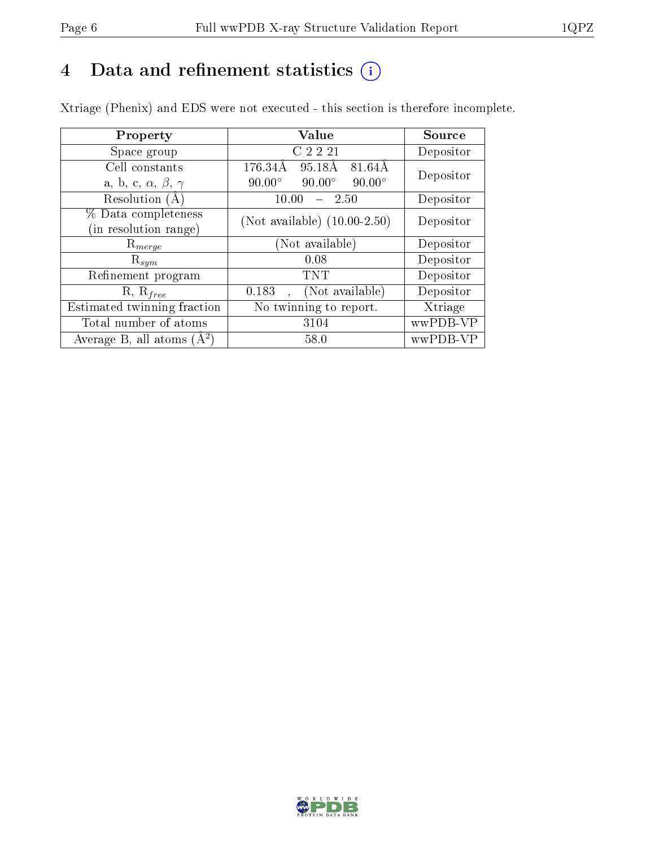# 4 Data and refinement statistics  $(i)$

Xtriage (Phenix) and EDS were not executed - this section is therefore incomplete.

| Property                               | <b>Value</b>                                    | Source    |
|----------------------------------------|-------------------------------------------------|-----------|
| Space group                            | C <sub>2</sub> 2 <sub>21</sub>                  | Depositor |
| Cell constants                         | 176.34Å<br>95.18Å<br>81.64Å                     | Depositor |
| a, b, c, $\alpha$ , $\beta$ , $\gamma$ | $90.00^\circ$<br>$90.00^\circ$<br>$90.00^\circ$ |           |
| Resolution $(A)$                       | 10.00<br>- 2.50                                 | Depositor |
| % Data completeness                    | (Not available) $(10.00-2.50)$                  | Depositor |
| in resolution range)                   |                                                 |           |
| $\mathrm{R}_{merge}$                   | (Not available)                                 | Depositor |
| $\mathrm{R}_{sym}$                     | 0.08                                            | Depositor |
| Refinement program                     | TNT                                             | Depositor |
| $R, R_{free}$                          | (Not available)<br>0.183                        | Depositor |
| Estimated twinning fraction            | No twinning to report.                          | Xtriage   |
| Total number of atoms                  | 3104                                            | wwPDB-VP  |
| Average B, all atoms $(A^2)$           | 58.0                                            | wwPDB-VP  |

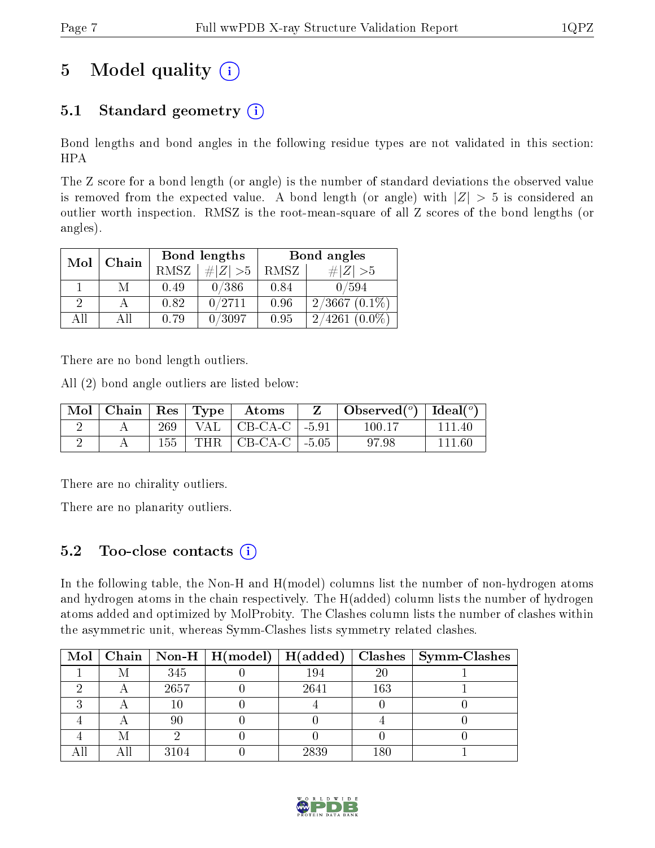# 5 Model quality  $(i)$

## 5.1 Standard geometry  $(i)$

Bond lengths and bond angles in the following residue types are not validated in this section: HPA

The Z score for a bond length (or angle) is the number of standard deviations the observed value is removed from the expected value. A bond length (or angle) with  $|Z| > 5$  is considered an outlier worth inspection. RMSZ is the root-mean-square of all Z scores of the bond lengths (or angles).

| Mol | Chain |      | Bond lengths | Bond angles |                 |  |
|-----|-------|------|--------------|-------------|-----------------|--|
|     |       | RMSZ | $\# Z  > 5$  | RMSZ        | $\# Z  > 5$     |  |
|     | М     | 0.49 | 0/386        | 0.84        | 0/594           |  |
| 2   |       | 0.82 | 0/2711       | 0.96        | $2/3667(0.1\%)$ |  |
| AĦ  | Αll   | 0.79 | 0/3097       | 0.95        | $2/4261(0.0\%)$ |  |

There are no bond length outliers.

All (2) bond angle outliers are listed below:

| Mol | $\vert$ Chain $\vert$ Res $\vert$ Type $\vert$ |     | $\bold{Atoms}$                    | $\mid$ Observed $(^\circ)$   Ideal $(^\circ)$ |        |
|-----|------------------------------------------------|-----|-----------------------------------|-----------------------------------------------|--------|
|     |                                                |     | 269   VAL   CB-CA-C   -5.91       | 100.17                                        | 111 40 |
|     |                                                | 155 | THR $\vert$ CB-CA-C $\vert$ -5.05 | 97.98                                         | 111 60 |

There are no chirality outliers.

There are no planarity outliers.

### 5.2 Too-close contacts  $\overline{a}$

In the following table, the Non-H and H(model) columns list the number of non-hydrogen atoms and hydrogen atoms in the chain respectively. The H(added) column lists the number of hydrogen atoms added and optimized by MolProbity. The Clashes column lists the number of clashes within the asymmetric unit, whereas Symm-Clashes lists symmetry related clashes.

|   |      |      |     | Mol   Chain   Non-H   H(model)   H(added)   Clashes   Symm-Clashes |
|---|------|------|-----|--------------------------------------------------------------------|
| M | 345  | 194  | 20  |                                                                    |
|   | 2657 | 2641 | 163 |                                                                    |
|   |      |      |     |                                                                    |
|   | 90   |      |     |                                                                    |
|   |      |      |     |                                                                    |
|   | 3104 | 2839 | 180 |                                                                    |

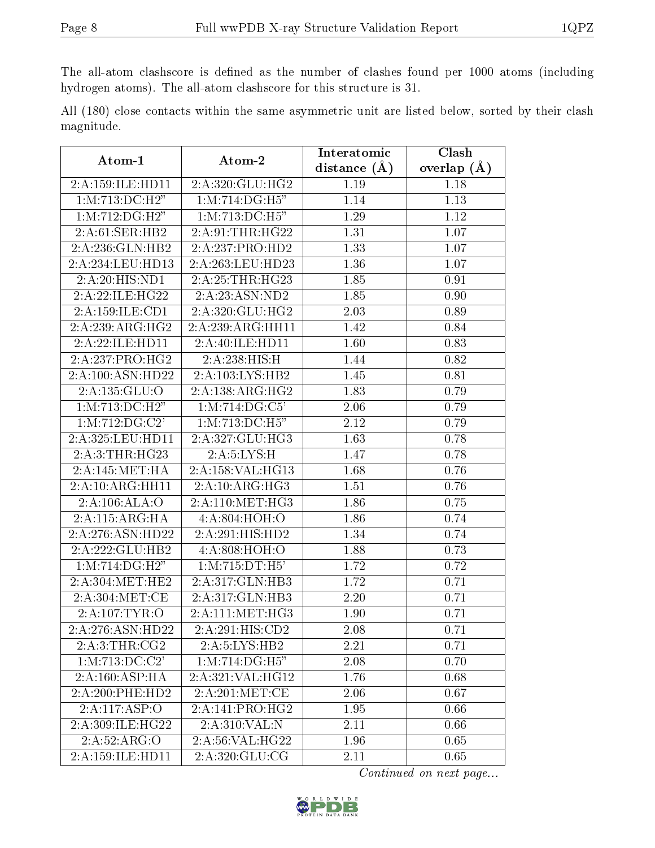The all-atom clashscore is defined as the number of clashes found per 1000 atoms (including hydrogen atoms). The all-atom clashscore for this structure is 31.

|            |  |  | All (180) close contacts within the same asymmetric unit are listed below, sorted by their clash |  |  |  |  |
|------------|--|--|--------------------------------------------------------------------------------------------------|--|--|--|--|
| magnitude. |  |  |                                                                                                  |  |  |  |  |

| Atom-1                         | Atom-2                         | Interatomic       | Clash             |
|--------------------------------|--------------------------------|-------------------|-------------------|
|                                |                                | distance $(A)$    | overlap $(A)$     |
| 2:A:159:ILE:HD11               | 2:A:320:GLU:HG2                | 1.19              | 1.18              |
| 1:M:713:DC:H2"                 | $1: M:714:DG: \overline{H5''}$ | 1.14              | 1.13              |
| $1: M: 712: \overline{DG:H2"}$ | 1: M: 713: DC: H5"             | 1.29              | 1.12              |
| 2: A:61: SER: HB2              | 2: A:91:THR:HG22               | 1.31              | 1.07              |
| 2:A:236:GLN:HB2                | 2:A:237:PRO:HD2                | 1.33              | 1.07              |
| 2:A:234:LEU:HD13               | 2:A:263:LEU:HD23               | 1.36              | 1.07              |
| $2:A:20:\overline{HIS:ND1}$    | 2:A:25:THR:HG23                | 1.85              | 0.91              |
| 2:A:22:ILE:HG22                | 2:A:23:ASN:ND2                 | 1.85              | $0.90\,$          |
| 2:A:159:ILE:CD1                | 2:A:320:GLU:HG2                | 2.03              | 0.89              |
| 2:A:239:ARG:HG2                | 2:A:239:ARG:HH11               | 1.42              | 0.84              |
| 2:A:22:ILE:HD11                | 2:A:40:ILE:HD11                | 1.60              | $\overline{0.83}$ |
| 2:A:237:PRO:HG2                | 2:A:238:HIS:H                  | 1.44              | 0.82              |
| 2:A:100:ASN:HD22               | 2:A:103:LYS:HB2                | 1.45              | 0.81              |
| 2:A:135:GLU:O                  | 2:A:138:ARG:HG2                | 1.83              | 0.79              |
| 1:M:713:DC:H2"                 | 1: M: 714: DG: C5'             | 2.06              | 0.79              |
| 1: M: 712: DG: C2'             | 1: M: 713: DC: H5"             | 2.12              | 0.79              |
| 2:A:325:LEU:HD11               | 2:A:327:GLU:HG3                | 1.63              | 0.78              |
| 2:A:3:THR:HG23                 | 2:A:5:LYS:H                    | 1.47              | 0.78              |
| 2:A:145:MET:HA                 | 2:A:158:VAL:HG13               | 1.68              | 0.76              |
| 2:A:10:ARG:HH11                | 2:A:10:ARG:HG3                 | 1.51              | 0.76              |
| 2:A:106:ALA:O                  | 2: A:110:MET:HG3               | 1.86              | 0.75              |
| 2:A:115:ARG:HA                 | 4:A:804:HOH:O                  | 1.86              | 0.74              |
| 2:A:276:ASN:HD22               | 2:A:291:HIS:HD2                | 1.34              | 0.74              |
| 2:A:222:GLU:HB2                | 4:A:808:HOH:O                  | 1.88              | 0.73              |
| 1:M:714:DG:H2"                 | 1:M:715:DT:H5'                 | 1.72              | 0.72              |
| 2:A:304:MET:HE2                | 2:A:317:GLN:HB3                | 1.72              | 0.71              |
| 2:A:304:MET:CE                 | 2:A:317:GLN:HB3                | 2.20              | 0.71              |
| 2:A:107:TYR:O                  | 2: A: 111:MET:HG3              | 1.90              | 0.71              |
| 2:A:276:ASN:HD22               | 2:A:291:HIS:CD2                | $\overline{2.08}$ | 0.71              |
| 2:A:3:THR:CG2                  | 2:A:5:LYS:HB2                  | 2.21              | 0.71              |
| 1:M:713:DC:C2'                 | 1: M:714: DG:H5"               | 2.08              | 0.70              |
| 2:A:160:ASP:HA                 | 2:A:321:VAL:HG12               | 1.76              | 0.68              |
| 2:A:200:PHE:HD2                | 2:A:201:MET:CE                 | 2.06              | 0.67              |
| 2:A:117:ASP:O                  | 2:A:141:PRO:HG2                | 1.95              | 0.66              |
| 2:A:309:ILE:HG22               | 2:A:310:VAL:N                  | 2.11              | 0.66              |
| 2:A:52:ARG:O                   | 2:A:56:VAL:H G22               | 1.96              | 0.65              |
| 2:A:159:ILE:HD11               | 2:A:320:GLU:CG                 | 2.11              | 0.65              |

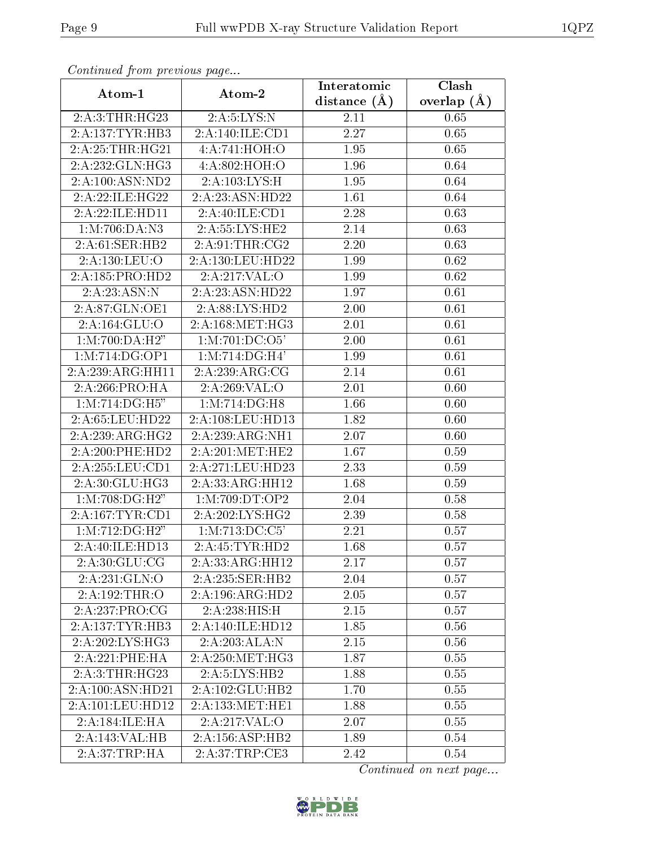| Continued from previous page |                                 | Interatomic      | Clash           |
|------------------------------|---------------------------------|------------------|-----------------|
| Atom-1                       | Atom-2                          | distance $(\AA)$ | overlap $(\AA)$ |
| 2:A:3:THR:HG23               | $2:A:5:\text{LYS:N}$            | 2.11             | 0.65            |
| 2:A:137:TYR:HB3              | 2:A:140:ILE:CD1                 | 2.27             | 0.65            |
| 2:A:25:THR:HG21              | 4:A:741:HOH:O                   | 1.95             | 0.65            |
| 2:A:232:GLN:HG3              | 4:A:802:HOH:O                   | 1.96             | 0.64            |
| 2:A:100:ASN:ND2              | 2:A:103:LYS:H                   | 1.95             | 0.64            |
| 2:A:22:ILE:HG22              | 2:A:23:ASN:HD22                 | 1.61             | 0.64            |
| 2:A:22:ILE:HD11              | 2:A:40:ILE:CD1                  | 2.28             | 0.63            |
| 1:M:706:DA:N3                | 2:A:55:LYS:HE2                  | 2.14             | 0.63            |
| 2:A:61:SER:HB2               | 2: A:91:THR:CG2                 | 2.20             | 0.63            |
| 2:A:130:LEU:O                | 2:A:130:LEU:HD22                | 1.99             | 0.62            |
| 2:A:185:PRO:HD2              | 2:A:217:VAL:O                   | 1.99             | 0.62            |
| 2:A:23:ASN:N                 | 2:A:23:ASN:HD22                 | 1.97             | 0.61            |
| 2:A:87:GLN:OE1               | 2:A:88:LYS:HD2                  | 2.00             | 0.61            |
| 2:A:164:GLU:O                | 2: A:168:MET:HG3                | 2.01             | 0.61            |
| 1:M:700:DA:H2"               | 1: M: 701: DC: O5'              | $2.00\,$         | 0.61            |
| 1: M:714: DG: OP1            | $1: M: 714: DG: \overline{H4'}$ | 1.99             | 0.61            |
| 2:A:239:ARG:HH11             | 2:A:239:ARG:CG                  | 2.14             | 0.61            |
| 2:A:266:PRO:HA               | 2:A:269:VAL:O                   | 2.01             | 0.60            |
| 1:M:714:DG:H5"               | 1: M:714:DG:H8                  | 1.66             | 0.60            |
| 2:A:65:LEU:HD22              | 2:A:108:LEU:HD13                | 1.82             | 0.60            |
| 2:A:239:ARG:HG2              | 2:A:239:ARG:NH1                 | 2.07             | 0.60            |
| 2:A:200:PHE:HD2              | 2:A:201:MET:HE2                 | 1.67             | 0.59            |
| 2:A:255:LEU:CD1              | 2:A:271:LEU:HD23                | 2.33             | 0.59            |
| 2:A:30:GLU:HG3               | 2:A:33:ARG:HH12                 | 1.68             | 0.59            |
| 1:M:708:DG:H2"               | 1:M:709:DT:OP2                  | 2.04             | 0.58            |
| 2:A:167:TYR:CD1              | 2:A:202:LYS:HG2                 | 2.39             | 0.58            |
| 1:M:712:DG:H2"               | $1: M: 713: DC: \overline{C5'}$ | 2.21             | 0.57            |
| 2:A:40:ILE:HD13              | 2:A:45:TYR:HD2                  | 1.68             | 0.57            |
| 2:A:30:GLU:CG                | 2:A:33:ARG:HH12                 | 2.17             | 0.57            |
| 2:A:231:GLN:O                | 2:A:235:SER:HB2                 | 2.04             | 0.57            |
| 2:A:192:THR:O                | 2:A:196:ARG:HD2                 | 2.05             | 0.57            |
| 2:A:237:PRO:CG               | 2:A:238:HIS:H                   | 2.15             | 0.57            |
| 2:A:137:TYR:HB3              | 2:A:140:ILE:HD12                | 1.85             | 0.56            |
| 2: A:202: LYS: HG3           | 2:A:203:ALA:N                   | 2.15             | 0.56            |
| 2:A:221:PHE:HA               | 2: A:250:MET:HG3                | 1.87             | 0.55            |
| 2:A:3:THR:HG23               | 2:A:5:LYS:HB2                   | 1.88             | 0.55            |
| 2:A:100:ASN:HD21             | 2:A:102:GLU:HB2                 | 1.70             | 0.55            |
| 2:A:101:LEU:HD12             | 2:A:133:MET:HE1                 | 1.88             | 0.55            |
| 2:A:184:ILE:HA               | 2:A:217:VAL:O                   | 2.07             | 0.55            |
| 2:A:143:VAL:H B              | 2:A:156:ASP:HB2                 | 1.89             | 0.54            |
| 2:A:37:TRP:HA                | 2:A:37:TRP:CE3                  | 2.42             | 0.54            |

Continued from previous page.

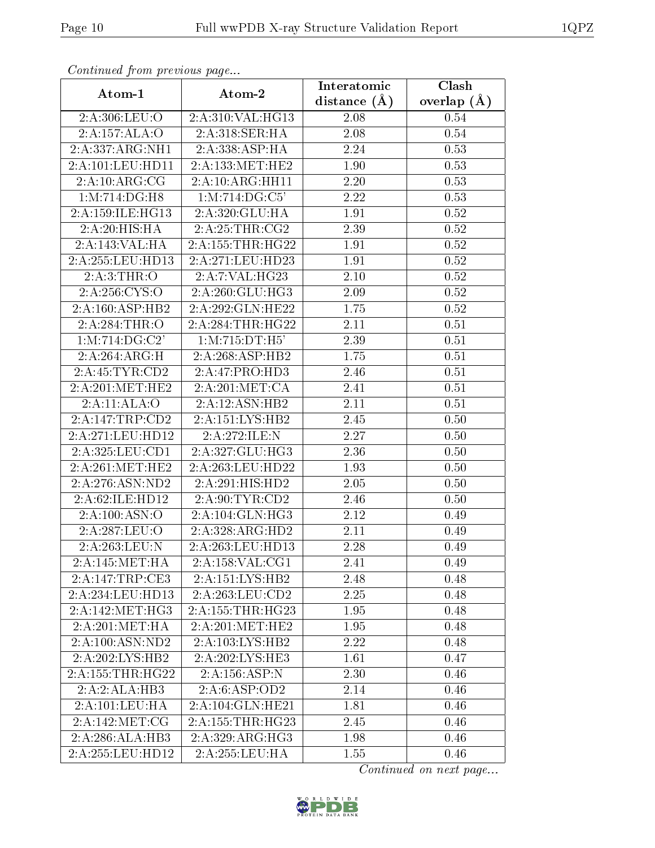| Comunaca jiom previous page |                        | Interatomic       | Clash           |
|-----------------------------|------------------------|-------------------|-----------------|
| Atom-1                      | Atom-2                 | distance $(A)$    | overlap $(\AA)$ |
| 2:A:306:LEU:O               | 2:A:310:VAL:HG13       | 2.08              | 0.54            |
| 2:A:157:ALA:O               | 2:A:318:SER:HA         | $\overline{2.08}$ | 0.54            |
| 2:A:337:ARG:NH1             | 2:A:338:ASP:HA         | 2.24              | 0.53            |
| 2:A:101:LEU:HD11            | 2:A:133:MET:HE2        | 1.90              | 0.53            |
| 2:A:10:ARG:CG               | 2:A:10:ARG:HH11        | 2.20              | 0.53            |
| 1:M:714:DG:H8               | 1: M: 714: DG: C5'     | 2.22              | 0.53            |
| 2:A:159:ILE:HG13            | 2:A:320:GLU:HA         | 1.91              | $0.52\,$        |
| 2:A:20:HIS:HA               | 2:A:25:THR:CG2         | 2.39              | 0.52            |
| 2:A:143:VAL:HA              | 2: A: 155: THR: HG22   | 1.91              | 0.52            |
| 2:A:255:LEU:HD13            | 2:A:271:LEU:HD23       | 1.91              | $0.52\,$        |
| 2:A:3:THR:O                 | 2:A:7:VAL:HG23         | 2.10              | 0.52            |
| $2:\overline{A:256:CYS:O}$  | 2:A:260:GLU:HG3        | 2.09              | 0.52            |
| 2:A:160:ASP:HB2             | 2:A:292:GLN:HE22       | 1.75              | 0.52            |
| 2:A:284:THR:O               | 2: A:284:THR:HG22      | 2.11              | 0.51            |
| 1:M:714:DG:C2'              | 1:M:715:DT:H5'         | 2.39              | 0.51            |
| 2:A:264:ARG:H               | 2:A:268:ASP:HB2        | 1.75              | 0.51            |
| 2:A:45:TYR:CD2              | 2:A:47:PRO:HD3         | 2.46              | 0.51            |
| 2:A:201:MET:HE2             | 2:A:201:MET:CA         | 2.41              | 0.51            |
| 2:A:11:ALA:O                | 2:A:12:ASN:HB2         | 2.11              | 0.51            |
| 2:A:147:TRP:CD2             | 2:A:151:LYS:HB2        | 2.45              | 0.50            |
| 2:A:271:LEU:HD12            | 2:A:272:ILE:N          | 2.27              | 0.50            |
| 2:A:325:LEU:CD1             | 2:A:327:GLU:HG3        | 2.36              | 0.50            |
| 2:A:261:MET:HE2             | 2:A:263:LEU:HD22       | 1.93              | 0.50            |
| 2:A:276:ASN:ND2             | 2:A:291:HIS:HD2        | 2.05              | 0.50            |
| 2:A:62:ILE:HD12             | 2:A:90:TYR:CD2         | 2.46              | 0.50            |
| 2:A:100:ASN:O               | 2:A:104:GLN:HG3        | 2.12              | 0.49            |
| 2:A:287:LEU:O               | 2:A:328:ARG:HD2        | 2.11              | 0.49            |
| 2:A:263:LEU:N               | 2:A:263:LEU:HD13       | 2.28              | 0.49            |
| 2: A:145:MET:HA             | 2:A:158:VAL:CG1        | 2.41              | 0.49            |
| 2:A:147:TRP:CE3             | 2:A:151:LYS:HB2        | 2.48              | 0.48            |
| 2:A:234:LEU:HD13            | 2:A:263:LEU:CD2        | 2.25              | 0.48            |
| 2:A:142:MET:HG3             | 2:A:155:THR:HG23       | 1.95              | 0.48            |
| 2:A:201:MET:HA              | 2:A:201:MET:HE2        | 1.95              | 0.48            |
| 2:A:100:ASN:ND2             | 2:A:103:LYS:HB2        | 2.22              | 0.48            |
| 2:A:202:LYS:HB2             | 2:A:202:LYS:HE3        | 1.61              | 0.47            |
| 2:A:155:THR:HG22            | 2:A:156:ASP:N          | 2.30              | 0.46            |
| 2:A:2:ALA:HB3               | 2:A:6:ASP:OD2          | 2.14              | 0.46            |
| 2:A:101:LEU:HA              | $2:A:104:$ GLN:HE $21$ | 1.81              | 0.46            |
| 2:A:142:MET:CG              | 2: A: 155: THR: HG23   | 2.45              | 0.46            |
| 2:A:286:ALA:HB3             | 2:A:329:ARG:HG3        | 1.98              | 0.46            |
| 2:A:255:LEU:HD12            | 2:A:255:LEU:HA         | 1.55              | 0.46            |

Continued from previous page.

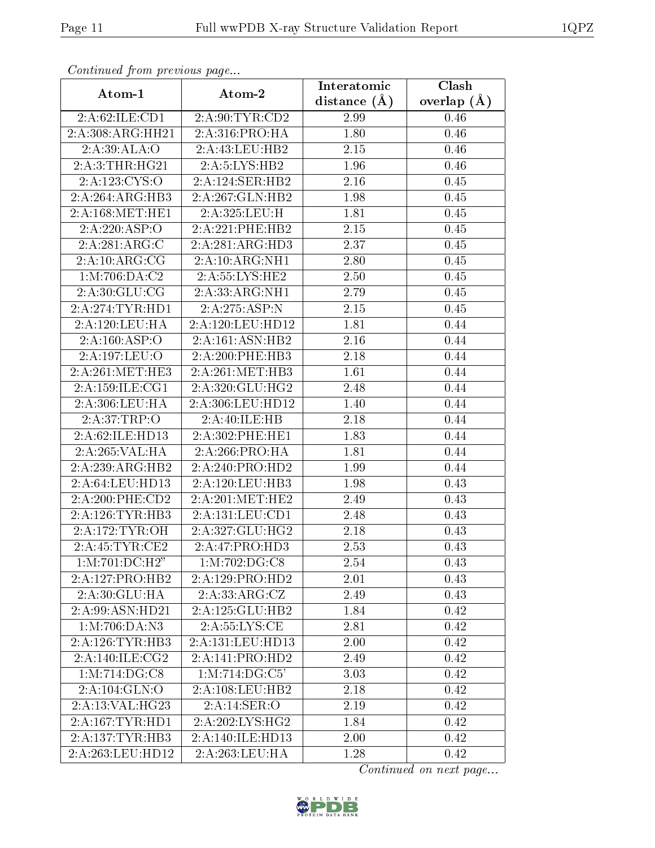| Continuea from previous page |                              | Interatomic    | Clash         |
|------------------------------|------------------------------|----------------|---------------|
| Atom-1                       | Atom-2                       | distance $(A)$ | overlap $(A)$ |
| 2:A:62:ILE:CD1               | 2:A:90:TYR:CD2               | 2.99           | 0.46          |
| 2:A:308:ARG:HH21             | 2:A:316:PRO:HA               | 1.80           | 0.46          |
| 2:A:39:ALA:O                 | 2:A:43:LEU:HB2               | 2.15           | 0.46          |
| 2:A:3:THR:HG21               | 2:A:5:LYS:HB2                | 1.96           | 0.46          |
| 2:A:123:CYS:O                | 2:A:124:SER:HB2              | 2.16           | 0.45          |
| 2:A:264:ARG:HB3              | 2:A:267:GLN:HB2              | 1.98           | 0.45          |
| 2:A:168:MET:HE1              | 2:A:325:LEU:H                | 1.81           | 0.45          |
| 2:A:220:ASP:O                | 2:A:221:PHE:HB2              | 2.15           | 0.45          |
| 2:A:281:ARG:C                | 2:A:281:ARG:HD3              | 2.37           | 0.45          |
| 2:A:10:ARG:CG                | 2:A:10:ARG:NH1               | 2.80           | 0.45          |
| 1:M:706:DA:C2                | 2:A:55:LYS:HE2               | 2.50           | 0.45          |
| 2:A:30:GLU:CG                | 2:A:33:ARG:NH1               | 2.79           | 0.45          |
| 2:A:274:TYR:HDI              | 2:A:275:ASP:N                | 2.15           | 0.45          |
| 2:A:120:LEU:HA               | 2:A:120:LEU:HD12             | 1.81           | 0.44          |
| 2:A:160:ASP:O                | 2:A:161:ASN:HB2              | 2.16           | 0.44          |
| 2:A:197:LEU:O                | 2:A:200:PHE:HB3              | 2.18           | 0.44          |
| 2:A:261:MET:HE3              | 2:A:261:MET:HB3              | 1.61           | 0.44          |
| $2:$ A:159:ILE:CG1           | 2:A:320:GLU:HG2              | 2.48           | 0.44          |
| 2:A:306:LEU:HA               | 2:A:306:LEU:HD12             | 1.40           | 0.44          |
| 2:A:37:TRP:O                 | 2:A:40:ILE:HB                | 2.18           | 0.44          |
| 2:A:62:ILE:HD13              | 2:A:302:PHE:HE1              | 1.83           | 0.44          |
| 2:A:265:VAL:HA               | 2:A:266:PRO:HA               | 1.81           | 0.44          |
| 2:A:239:ARG:HB2              | 2:A:240:PRO:HD2              | 1.99           | 0.44          |
| 2:A:64:LEU:HD13              | 2:A:120:LEU:HB3              | 1.98           | 0.43          |
| 2:A:200:PHE:CD2              | 2:A:201:MET:HE2              | 2.49           | 0.43          |
| 2:A:126:TTVR:HB3             | 2:A:131:LEU:CD1              | 2.48           | 0.43          |
| 2: A:172: TYR:OH             | $2:A:327:GLU:H\overline{G2}$ | 2.18           | 0.43          |
| 2:A:45:TYR:CE2               | 2:A:47:PRO:HD3               | 2.53           | 0.43          |
| 1:M:701:DC:H2"               | 1: M:702: DG:CS              | 2.54           | 0.43          |
| 2:A:127:PRO:HB2              | 2:A:129:PRO:HD2              | 2.01           | 0.43          |
| 2:A:30:GLU:HA                | 2:A:33:ARG:CZ                | 2.49           | 0.43          |
| 2:A:99:ASN:HD21              | 2:A:125:GLU:HB2              | 1.84           | 0.42          |
| $1: M:706:DA: \overline{N3}$ | 2:A:55:LYS:CE                | 2.81           | 0.42          |
| 2:A:126:TYR:HB3              | 2:A:131:LEU:HD13             | 2.00           | 0.42          |
| 2:A:140:ILE:CG2              | 2:A:141:PRO:HD2              | 2.49           | 0.42          |
| 1: M: 714: DG: C8            | 1: M: 714: DG: C5'           | 3.03           | 0.42          |
| 2:A:104:GLN:O                | 2:A:108:LEU:HB2              | 2.18           | 0.42          |
| 2:A:13:VAL:HG23              | 2:A:14:SER:O                 | 2.19           | 0.42          |
| $2:$ A:167:TYR:HD1           | 2:A:202:LYS:HG2              | 1.84           | 0.42          |
| 2:A:137:TYR:HB3              | 2:A:140:ILE:HD13             | 2.00           | 0.42          |
| 2:A:263:LEU:HD12             | 2:A:263:LEU:HA               | 1.28           | 0.42          |

Continued from previous page.

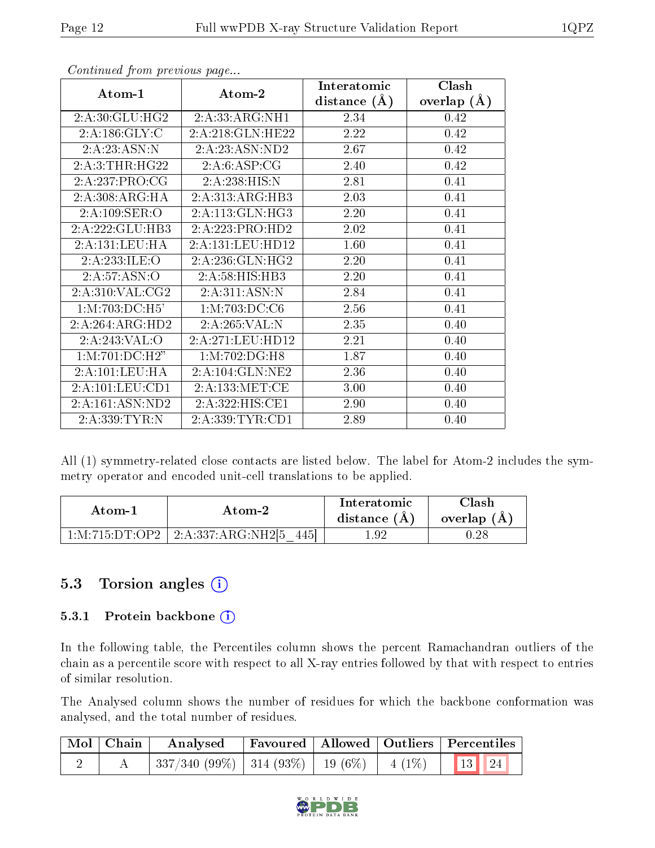|                                     |                   | Interatomic    | Clash         |
|-------------------------------------|-------------------|----------------|---------------|
| Atom-1                              | Atom-2            | distance $(A)$ | overlap $(A)$ |
| 2: A:30: GLU: HG2                   | 2:A:33:ARG:NH1    | 2.34           | 0.42          |
| $2:A:\overline{186:GLY:C}$          | 2:A:218:GLN:HE22  | 2.22           | 0.42          |
| 2:A:23:ASN:N                        | 2:A:23:ASN:ND2    | 2.67           | 0.42          |
| 2:A:3:THR:HG22                      | 2:A:6:ASP:CG      | 2.40           | 0.42          |
| 2:A:237:PRO:CG                      | 2:A:238:HIS:N     | 2.81           | 0.41          |
| 2:A:308:ARG:HA                      | 2:A:313:ARG:HB3   | 2.03           | 0.41          |
| 2:A:109:SER:O                       | 2:A:113:GLN:HG3   | 2.20           | 0.41          |
| 2:A:222:GLU:HB3                     | 2:A:223:PRO:HD2   | 2.02           | 0.41          |
| 2:A:131:LEU:HA                      | 2:A:131:LEU:HD12  | 1.60           | 0.41          |
| 2:A:233:ILE:O                       | 2:A:236:GLN:HG2   | 2.20           | 0.41          |
| 2:A:57:ASN:O                        | 2:A:58:HIS:HB3    | 2.20           | 0.41          |
| $2:A:310:\overline{\text{VAL}:CG2}$ | 2:A:311:ASN:N     | 2.84           | 0.41          |
| 1: M: 703: DC: H5'                  | 1: M: 703: DC: C6 | 2.56           | 0.41          |
| 2:A:264:ARG:HD2                     | 2:A:265:VAL:N     | 2.35           | 0.40          |
| 2:A:243:VAL:O                       | 2:A:271:LEU:HD12  | 2.21           | 0.40          |
| 1: M: 701: DC:H2"                   | 1:M:702:DG:H8     | 1.87           | 0.40          |
| 2:A:101:LEU:HA                      | 2:A:104:GLN:NE2   | 2.36           | 0.40          |
| 2:A:101:LEU:CD1                     | 2:A:133:MET:CE    | $3.00\,$       | 0.40          |
| 2:A:161:ASN:ND2                     | 2:A:322:HIS:CE1   | 2.90           | 0.40          |
| 2:A:339:TYR:N                       | 2:A:339:TYR:CD1   | 2.89           | 0.40          |

Continued from previous page...

All (1) symmetry-related close contacts are listed below. The label for Atom-2 includes the symmetry operator and encoded unit-cell translations to be applied.

| Atom-1 | Atom-2                              | Interatomic<br>distance (A) | $\gamma$ lash<br>overlap (A) |
|--------|-------------------------------------|-----------------------------|------------------------------|
|        | 1:M:715:DT:OP2   2:A:337:ARG:NH2[5] | . .92                       | $0.28\,$                     |

#### 5.3 Torsion angles (i)

#### 5.3.1 Protein backbone (i)

In the following table, the Percentiles column shows the percent Ramachandran outliers of the chain as a percentile score with respect to all X-ray entries followed by that with respect to entries of similar resolution.

The Analysed column shows the number of residues for which the backbone conformation was analysed, and the total number of residues.

| $\mid$ Mol $\mid$ Chain $\mid$ | $\boldsymbol{\mathrm{Analysed}}$                              |  | Favoured   Allowed   Outliers   Percentiles |
|--------------------------------|---------------------------------------------------------------|--|---------------------------------------------|
|                                | $\mid$ 337/340 (99%)   314 (93%)   19 (6%)   4 (1%)   13   24 |  |                                             |

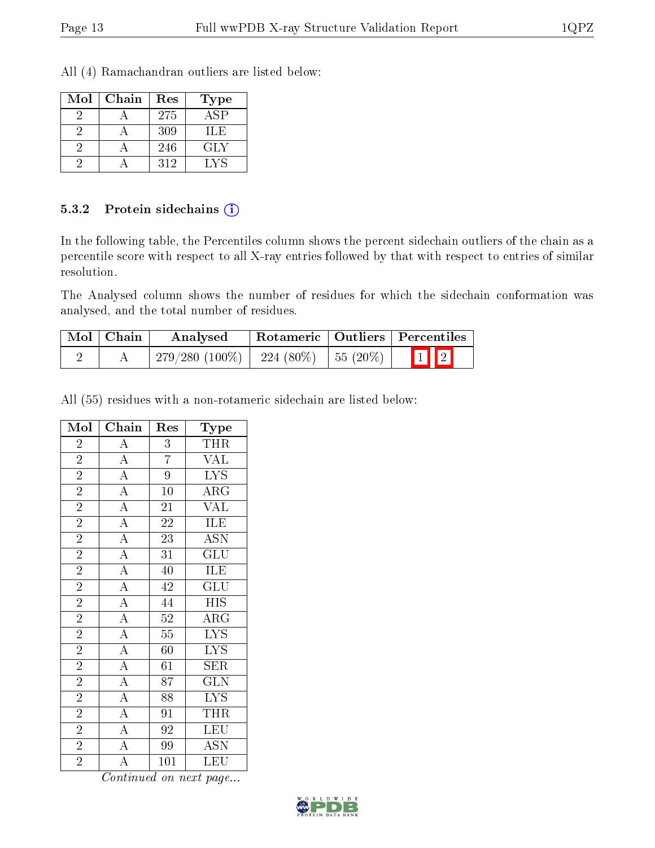All (4) Ramachandran outliers are listed below:

| Mol | Chain | Res | Type             |
|-----|-------|-----|------------------|
|     |       | 275 | $AS\overline{P}$ |
|     |       | 309 | ШE               |
|     |       | 246 | GLY              |
|     |       | 312 | LAS              |

#### 5.3.2 Protein sidechains (i)

In the following table, the Percentiles column shows the percent sidechain outliers of the chain as a percentile score with respect to all X-ray entries followed by that with respect to entries of similar resolution.

The Analysed column shows the number of residues for which the sidechain conformation was analysed, and the total number of residues.

| Mol   Chain | Analysed                      | Rotameric   Outliers   Percentiles |                      |                         |
|-------------|-------------------------------|------------------------------------|----------------------|-------------------------|
|             | $279/280(100\%)$   224 (80\%) |                                    | $\frac{1}{55}$ (20%) | $\boxed{1}$ $\boxed{2}$ |

All (55) residues with a non-rotameric sidechain are listed below:

| Mol            | Chain                                                                                                                                                                                                                   | Res             | Type                      |
|----------------|-------------------------------------------------------------------------------------------------------------------------------------------------------------------------------------------------------------------------|-----------------|---------------------------|
| $\overline{2}$ | $\overline{A}$                                                                                                                                                                                                          | 3               | <b>THR</b>                |
| $\overline{2}$ |                                                                                                                                                                                                                         | $\overline{7}$  | <b>VAL</b>                |
| $\overline{2}$ |                                                                                                                                                                                                                         | $\overline{9}$  | $\overline{\text{LYS}}$   |
| $\sqrt{2}$     | $\frac{\overline{A}}{\overline{A}}$ $\frac{\overline{A}}{\overline{A}}$                                                                                                                                                 | $\overline{10}$ | $\overline{\rm{ARG}}$     |
| $\overline{2}$ |                                                                                                                                                                                                                         | 21              | $\overline{\text{VAL}}$   |
| $\overline{2}$ | $\frac{\overline{A}}{\overline{A}}$                                                                                                                                                                                     | 22              | <b>ILE</b>                |
| $\overline{2}$ |                                                                                                                                                                                                                         | $\overline{23}$ | $\overline{\mathrm{ASN}}$ |
| $\overline{2}$ |                                                                                                                                                                                                                         | $\overline{31}$ | $\overline{\text{GLU}}$   |
| $\overline{2}$ | $\overline{A}$                                                                                                                                                                                                          | 40              | <b>ILE</b>                |
| $\overline{2}$ |                                                                                                                                                                                                                         | $\overline{42}$ | $\overline{{\rm GLU}}$    |
| $\overline{2}$ |                                                                                                                                                                                                                         | $\overline{44}$ | <b>HIS</b>                |
| $\overline{2}$ |                                                                                                                                                                                                                         | $\overline{52}$ | $\overline{\rm ARG}$      |
| $\overline{2}$ |                                                                                                                                                                                                                         | $\overline{55}$ | $\overline{\text{LYS}}$   |
| $\overline{2}$ |                                                                                                                                                                                                                         | 60              | $\overline{\text{LYS}}$   |
| $\overline{2}$ |                                                                                                                                                                                                                         | $\overline{61}$ | $\overline{\text{SER}}$   |
| $\overline{2}$ |                                                                                                                                                                                                                         | 87              | $\overline{\text{GLN}}$   |
| $\overline{2}$ | $\frac{\overline{A}}{\overline{A}}$ $\frac{\overline{A}}{\overline{A}}$ $\frac{\overline{A}}{\overline{A}}$ $\frac{\overline{A}}{\overline{A}}$ $\frac{\overline{A}}{\overline{A}}$ $\frac{\overline{A}}{\overline{A}}$ | 88              | $\overline{\text{LYS}}$   |
| $\overline{2}$ |                                                                                                                                                                                                                         | 91              | <b>THR</b>                |
| $\overline{2}$ |                                                                                                                                                                                                                         | 92              | $\overline{\text{LEU}}$   |
| $\overline{2}$ |                                                                                                                                                                                                                         | 99              | $\overline{\text{ASN}}$   |
| $\overline{2}$ | $\overline{\rm A}$                                                                                                                                                                                                      | 101             | LEU                       |

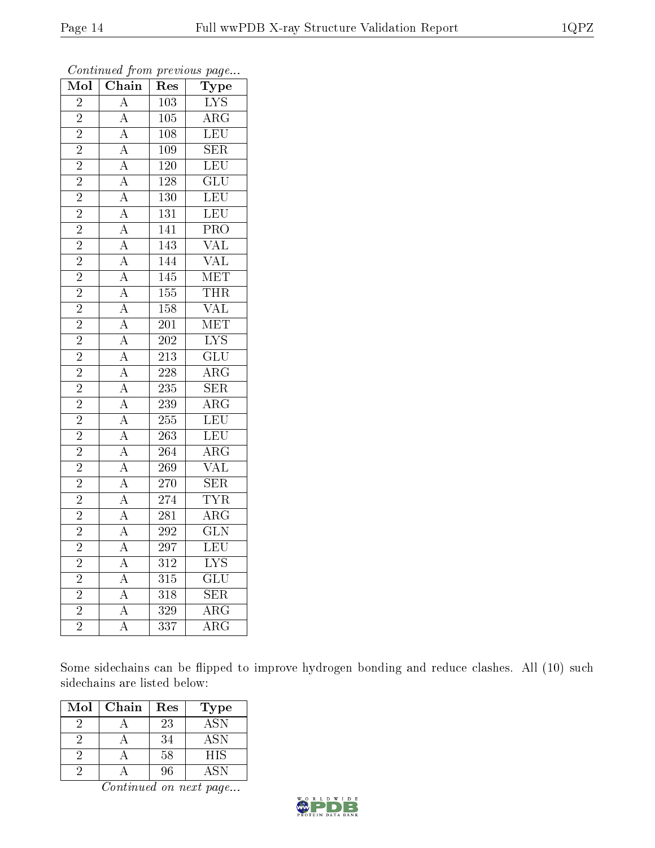| $\overline{\text{Mol}}$ | Chain                                                                                                       | ${\mathop{\mathrm{Res}}\nolimits}$ | Type                    |
|-------------------------|-------------------------------------------------------------------------------------------------------------|------------------------------------|-------------------------|
| $\overline{2}$          | $\overline{\rm A}$                                                                                          | 103                                | $LYS$                   |
| $\overline{2}$          | $\overline{A}$                                                                                              | $\overline{105}$                   | $\overline{\rm ARG}$    |
| $\overline{2}$          | $\overline{A}$                                                                                              | $\overline{108}$                   | $\overline{\text{LEU}}$ |
| $\overline{2}$          |                                                                                                             | 109                                | $\overline{\text{SER}}$ |
| $\overline{2}$          |                                                                                                             | $\overline{120}$                   | $\overline{\text{LEU}}$ |
| $\overline{2}$          | $\frac{\overline{A}}{\overline{A}}$ $\frac{\overline{A}}{\overline{A}}$                                     | 128                                | $\overline{\text{GLU}}$ |
| $\overline{2}$          |                                                                                                             | <b>130</b>                         | $\overline{\text{LEU}}$ |
| $\overline{2}$          |                                                                                                             | $\overline{131}$                   | LEU                     |
| $\overline{2}$          | $\frac{\overline{A}}{\overline{A}}$ $\frac{\overline{A}}{\overline{A}}$ $\frac{\overline{A}}{\overline{A}}$ | $\overline{141}$                   | $\overline{\text{PRO}}$ |
| $\overline{2}$          |                                                                                                             | $\overline{143}$                   | $\overline{\text{VAL}}$ |
| $\overline{2}$          |                                                                                                             | 144                                | <b>VAL</b>              |
| $\overline{2}$          |                                                                                                             | $\overline{145}$                   | <b>MET</b>              |
| $\overline{2}$          |                                                                                                             | 155                                | <b>THR</b>              |
| $\overline{2}$          |                                                                                                             | $\overline{158}$                   | $\overline{\text{VAL}}$ |
| $\overline{2}$          |                                                                                                             | $\overline{201}$                   | <b>MET</b>              |
| $\overline{2}$          |                                                                                                             | $\overline{202}$                   | $\overline{\text{LYS}}$ |
| $\overline{2}$          | $\frac{\overline{A}}{\overline{A}}$                                                                         | $\overline{213}$                   | $\overline{\text{GLU}}$ |
| $\overline{2}$          |                                                                                                             | $\overline{228}$                   | $\overline{\rm{ARG}}$   |
| $\overline{2}$          | $\frac{\overline{A}}{\overline{A}}$ $\frac{\overline{A}}{\overline{A}}$ $\frac{\overline{A}}{\overline{A}}$ | $\overline{235}$                   | $\overline{\text{SER}}$ |
| $\overline{2}$          |                                                                                                             | 239                                | $\overline{\text{ARG}}$ |
| $\overline{2}$          |                                                                                                             | 255                                | LEU                     |
| $\overline{2}$          |                                                                                                             | $\overline{263}$                   | LEU                     |
| $\overline{2}$          |                                                                                                             | 264                                | $\rm{ARG}$              |
| $\overline{2}$          |                                                                                                             | $\overline{269}$                   | $\overline{\text{VAL}}$ |
| $\overline{2}$          |                                                                                                             | $\overline{270}$                   | $\overline{\text{SER}}$ |
| $\overline{2}$          | $\frac{\overline{A}}{\overline{A}}$ $\frac{\overline{A}}{\overline{A}}$                                     | $\overline{274}$                   | <b>TYR</b>              |
| $\overline{2}$          |                                                                                                             | $\overline{281}$                   | $\overline{\rm ARG}$    |
| $\overline{2}$          |                                                                                                             | 292                                | $\overline{\text{GLN}}$ |
| $\overline{2}$          |                                                                                                             | $\overline{297}$                   | $\overline{\text{LEU}}$ |
| $\overline{2}$          | $\overline{A}$                                                                                              | 312                                | $\overline{\text{LYS}}$ |
| $\overline{2}$          | $\overline{A}$                                                                                              | $\overline{315}$                   | $\overline{{\rm GLU}}$  |
| $\overline{2}$          | $\overline{A}$                                                                                              | $\overline{318}$                   | $\overline{\text{SER}}$ |
| $\overline{2}$          | $\overline{\rm A}$                                                                                          | 329                                | $\overline{\rm{ARG}}$   |
| $\overline{2}$          | $\overline{\rm A}$                                                                                          | $\overline{337}$                   | $\overline{\rm{ARG}}$   |

Continued from previous page...

Some sidechains can be flipped to improve hydrogen bonding and reduce clashes. All (10) such sidechains are listed below:

| Mol | Chain | Res | Type             |
|-----|-------|-----|------------------|
|     |       | 23  | <b>ASN</b>       |
|     |       | 34  | $AS\overline{N}$ |
|     |       | 58  | <b>HIS</b>       |
|     |       | 96  | ASN              |

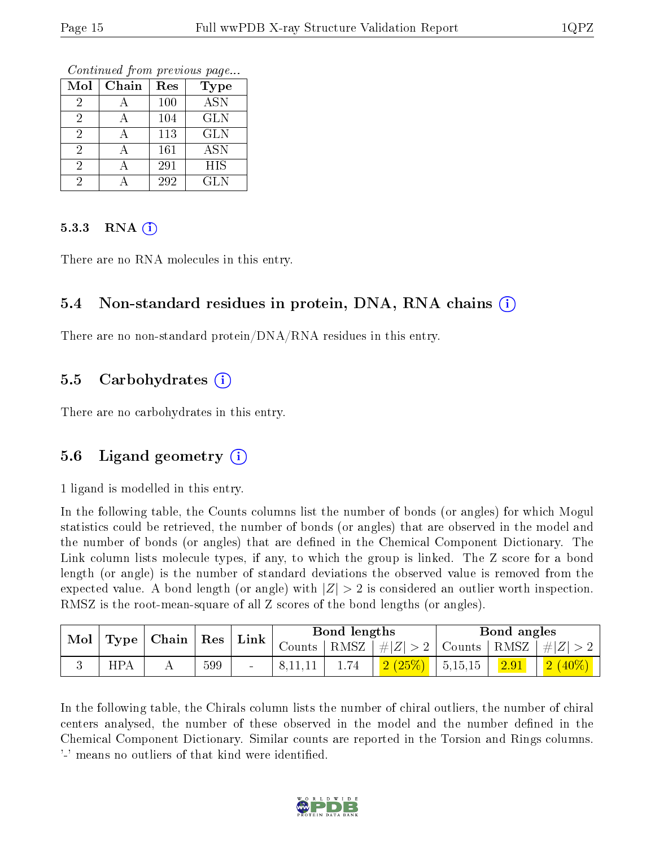Continued from previous page...

| Mol            | Chain | Res | <b>Type</b> |
|----------------|-------|-----|-------------|
| $\overline{2}$ |       | 100 | <b>ASN</b>  |
| 2              |       | 104 | <b>GLN</b>  |
| 2              |       | 113 | <b>GLN</b>  |
| 2              |       | 161 | <b>ASN</b>  |
| 2              |       | 291 | <b>HIS</b>  |
|                |       | 292 | <b>GLN</b>  |

#### $5.3.3$  RNA  $(i)$

There are no RNA molecules in this entry.

#### 5.4 Non-standard residues in protein, DNA, RNA chains (i)

There are no non-standard protein/DNA/RNA residues in this entry.

#### 5.5 Carbohydrates  $(i)$

There are no carbohydrates in this entry.

#### 5.6 Ligand geometry (i)

1 ligand is modelled in this entry.

In the following table, the Counts columns list the number of bonds (or angles) for which Mogul statistics could be retrieved, the number of bonds (or angles) that are observed in the model and the number of bonds (or angles) that are defined in the Chemical Component Dictionary. The Link column lists molecule types, if any, to which the group is linked. The Z score for a bond length (or angle) is the number of standard deviations the observed value is removed from the expected value. A bond length (or angle) with  $|Z| > 2$  is considered an outlier worth inspection. RMSZ is the root-mean-square of all Z scores of the bond lengths (or angles).

| $\blacksquare$ Mol $\vert$ Type $\vert$ Chain $\vert$ Res $\vert$ Link $\vert$ |            |  |     |                          |  | Bond lengths |                                                                   |         | Bond angles    |           |  |
|--------------------------------------------------------------------------------|------------|--|-----|--------------------------|--|--------------|-------------------------------------------------------------------|---------|----------------|-----------|--|
|                                                                                |            |  |     |                          |  |              | Counts   RMSZ $\mid \#  Z  > 2$   Counts   RMSZ $\mid \#  Z  > 2$ |         |                |           |  |
|                                                                                | <b>HPA</b> |  | 599 | $\overline{\phantom{a}}$ |  |              | 2(25%)                                                            | 5,15,15 | $\boxed{2.91}$ | $2(40\%)$ |  |

In the following table, the Chirals column lists the number of chiral outliers, the number of chiral centers analysed, the number of these observed in the model and the number defined in the Chemical Component Dictionary. Similar counts are reported in the Torsion and Rings columns. '-' means no outliers of that kind were identified.

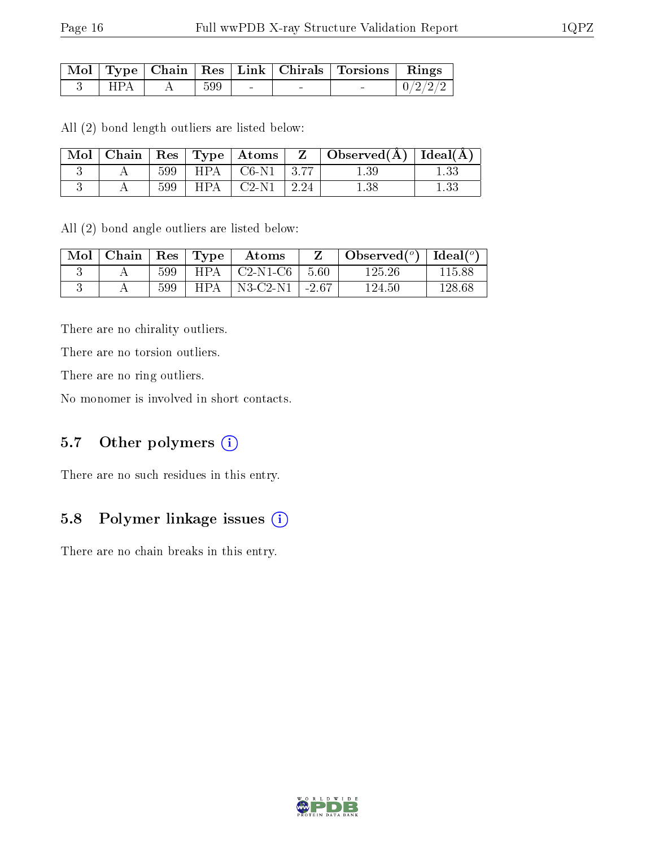|     |     |        |        | Mol   Type   Chain   Res   Link   Chirals   Torsions   Rings |         |
|-----|-----|--------|--------|--------------------------------------------------------------|---------|
| HPA | 599 | $\sim$ | $\sim$ |                                                              | 0/2/2/2 |

All (2) bond length outliers are listed below:

| $\mid$ Mol |     |       | $\vert$ Chain $\vert$ Res $\vert$ Type $\vert$ Atoms $\vert$ | $\mathbf{Z}$ | $\Box$ Observed( $\AA$ ) $\Box$ Ideal( $\AA$ ) |  |
|------------|-----|-------|--------------------------------------------------------------|--------------|------------------------------------------------|--|
|            | 599 |       | $\pm$ HPA $\pm$ C6-N1 $\pm$ 3.77                             |              | $1.39\,$                                       |  |
|            | 599 | HPA – | $\mid$ C2-N1 $\mid$ 2.24                                     |              |                                                |  |

All (2) bond angle outliers are listed below:

| Mol | Chain | $\perp$ Res | $T$ ype    | Atoms          |         | Observed $(°)$ | Ideal $(°)$ |
|-----|-------|-------------|------------|----------------|---------|----------------|-------------|
|     |       | 599         | <b>HPA</b> | $C2-N1-C6$     | 5.60    | 125.26         | 115.88      |
|     |       | 599         | HPA        | $N3$ -C2- $N1$ | $-2.67$ | 124.50         | 128.68      |

There are no chirality outliers.

There are no torsion outliers.

There are no ring outliers.

No monomer is involved in short contacts.

#### 5.7 [O](https://www.wwpdb.org/validation/2017/XrayValidationReportHelp#nonstandard_residues_and_ligands)ther polymers (i)

There are no such residues in this entry.

### 5.8 Polymer linkage issues  $(i)$

There are no chain breaks in this entry.